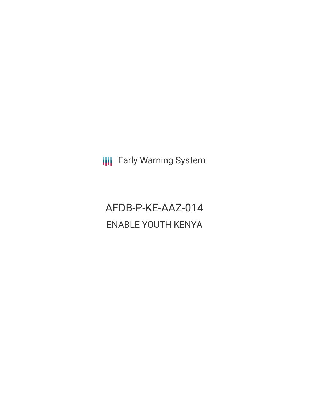**III** Early Warning System

AFDB-P-KE-AAZ-014 ENABLE YOUTH KENYA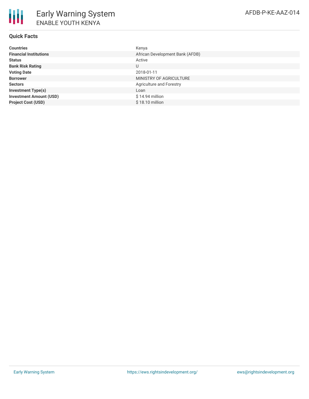# **Quick Facts**

| <b>Countries</b>               | Kenya                           |
|--------------------------------|---------------------------------|
| <b>Financial Institutions</b>  | African Development Bank (AFDB) |
| <b>Status</b>                  | Active                          |
| <b>Bank Risk Rating</b>        | U                               |
| <b>Voting Date</b>             | 2018-01-11                      |
| <b>Borrower</b>                | MINISTRY OF AGRICULTURE         |
| <b>Sectors</b>                 | Agriculture and Forestry        |
| <b>Investment Type(s)</b>      | Loan                            |
| <b>Investment Amount (USD)</b> | $$14.94$ million                |
| <b>Project Cost (USD)</b>      | \$18.10 million                 |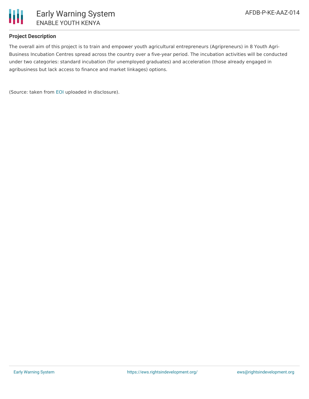

#### **Project Description**

The overall aim of this project is to train and empower youth agricultural entrepreneurs (Agripreneurs) in 8 Youth Agri-Business Incubation Centres spread across the country over a five-year period. The incubation activities will be conducted under two categories: standard incubation (for unemployed graduates) and acceleration (those already engaged in agribusiness but lack access to finance and market linkages) options.

(Source: taken from [EOI](https://www.afdb.org/en/documents/eoi-kenya-consultancy-services-assignment-incubation-and-training-service-provider-program-enable-youth-kenya-program) uploaded in disclosure).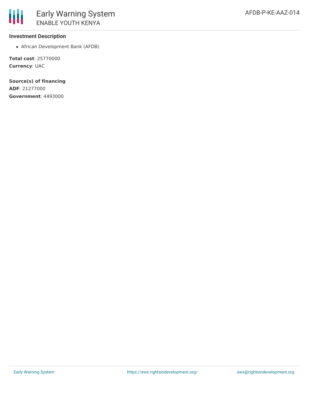African Development Bank (AFDB)

**Total cost**: 25770000 **Currency**: UAC

**Source(s) of financing ADF**: 21277000 **Government**: 4493000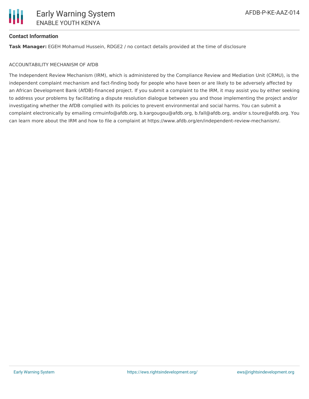# **Contact Information**

**Task Manager:** EGEH Mohamud Hussein, RDGE2 / no contact details provided at the time of disclosure

#### ACCOUNTABILITY MECHANISM OF AfDB

The Independent Review Mechanism (IRM), which is administered by the Compliance Review and Mediation Unit (CRMU), is the independent complaint mechanism and fact-finding body for people who have been or are likely to be adversely affected by an African Development Bank (AfDB)-financed project. If you submit a complaint to the IRM, it may assist you by either seeking to address your problems by facilitating a dispute resolution dialogue between you and those implementing the project and/or investigating whether the AfDB complied with its policies to prevent environmental and social harms. You can submit a complaint electronically by emailing crmuinfo@afdb.org, b.kargougou@afdb.org, b.fall@afdb.org, and/or s.toure@afdb.org. You can learn more about the IRM and how to file a complaint at https://www.afdb.org/en/independent-review-mechanism/.